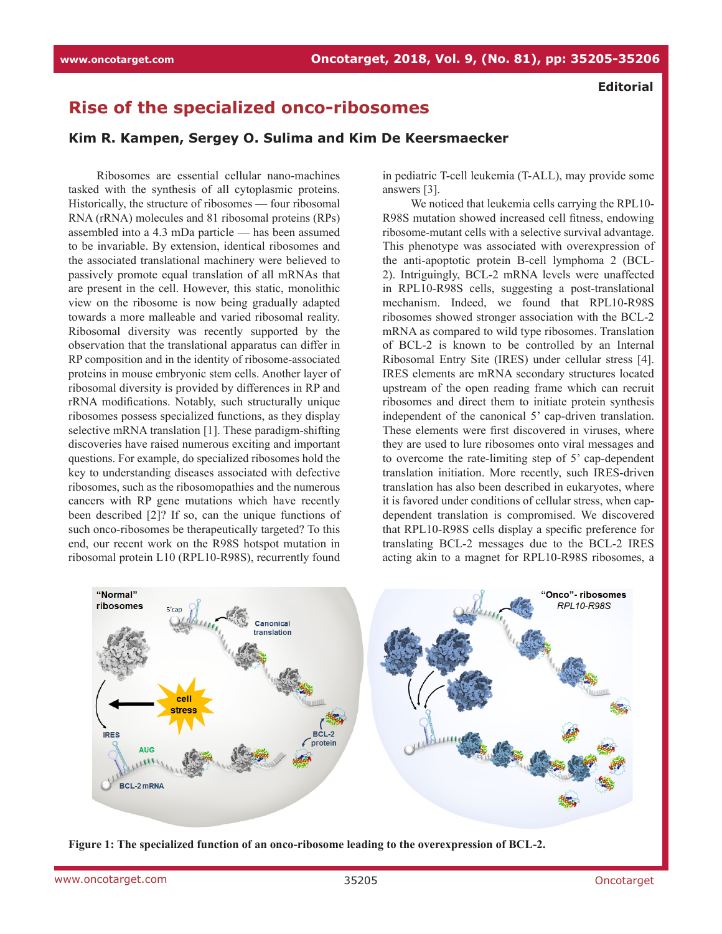## **Rise of the specialized onco-ribosomes**

**Kim R. Kampen, Sergey O. Sulima and Kim De Keersmaecker**

Ribosomes are essential cellular nano-machines tasked with the synthesis of all cytoplasmic proteins. Historically, the structure of ribosomes — four ribosomal RNA (rRNA) molecules and 81 ribosomal proteins (RPs) assembled into a 4.3 mDa particle — has been assumed to be invariable. By extension, identical ribosomes and the associated translational machinery were believed to passively promote equal translation of all mRNAs that are present in the cell. However, this static, monolithic view on the ribosome is now being gradually adapted towards a more malleable and varied ribosomal reality. Ribosomal diversity was recently supported by the observation that the translational apparatus can differ in RP composition and in the identity of ribosome-associated proteins in mouse embryonic stem cells. Another layer of ribosomal diversity is provided by differences in RP and rRNA modifications. Notably, such structurally unique ribosomes possess specialized functions, as they display selective mRNA translation [1]. These paradigm-shifting discoveries have raised numerous exciting and important questions. For example, do specialized ribosomes hold the key to understanding diseases associated with defective ribosomes, such as the ribosomopathies and the numerous cancers with RP gene mutations which have recently been described [2]? If so, can the unique functions of such onco-ribosomes be therapeutically targeted? To this end, our recent work on the R98S hotspot mutation in ribosomal protein L10 (RPL10-R98S), recurrently found

in pediatric T-cell leukemia (T-ALL), may provide some answers [3].

We noticed that leukemia cells carrying the RPL10- R98S mutation showed increased cell fitness, endowing ribosome-mutant cells with a selective survival advantage. This phenotype was associated with overexpression of the anti-apoptotic protein B-cell lymphoma 2 (BCL-2). Intriguingly, BCL-2 mRNA levels were unaffected in RPL10-R98S cells, suggesting a post-translational mechanism. Indeed, we found that RPL10-R98S ribosomes showed stronger association with the BCL-2 mRNA as compared to wild type ribosomes. Translation of BCL-2 is known to be controlled by an Internal Ribosomal Entry Site (IRES) under cellular stress [4]. IRES elements are mRNA secondary structures located upstream of the open reading frame which can recruit ribosomes and direct them to initiate protein synthesis independent of the canonical 5' cap-driven translation. These elements were first discovered in viruses, where they are used to lure ribosomes onto viral messages and to overcome the rate-limiting step of 5' cap-dependent translation initiation. More recently, such IRES-driven translation has also been described in eukaryotes, where it is favored under conditions of cellular stress, when capdependent translation is compromised. We discovered that RPL10-R98S cells display a specific preference for translating BCL-2 messages due to the BCL-2 IRES acting akin to a magnet for RPL10-R98S ribosomes, a



**Figure 1: The specialized function of an onco-ribosome leading to the overexpression of BCL-2.**